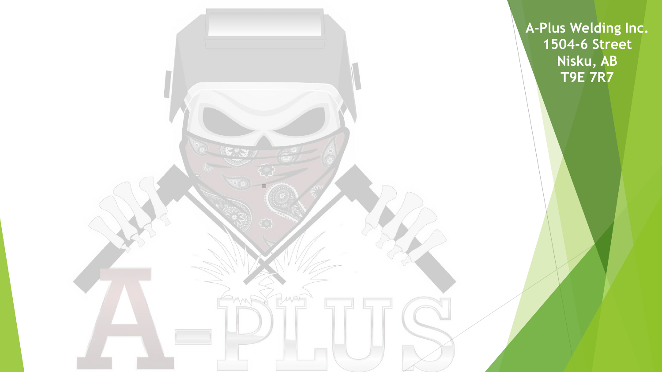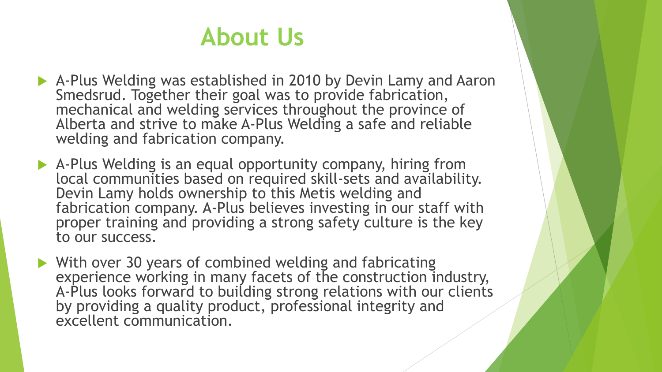## **About Us**

- A-Plus Welding was established in 2010 by Devin Lamy and Aaron Smedsrud. Together their goal was to provide fabrication, mechanical and welding services throughout the province of Alberta and strive to make A-Plus Welding a safe and reliable welding and fabrication company.
- A-Plus Welding is an equal opportunity company, hiring from local communities based on required skill-sets and availability.<br>Devin Lamy holds ownership to this Metis welding and fabrication company. A-Plus believes investing in our staff with proper training and providing a strong safety culture is the key to our success.
- With over 30 years of combined welding and fabricating experience working in many facets of the construction industry, A-Plus looks forward to building strong relations with our clients by providing a quality product, professional integrity and excellent communication.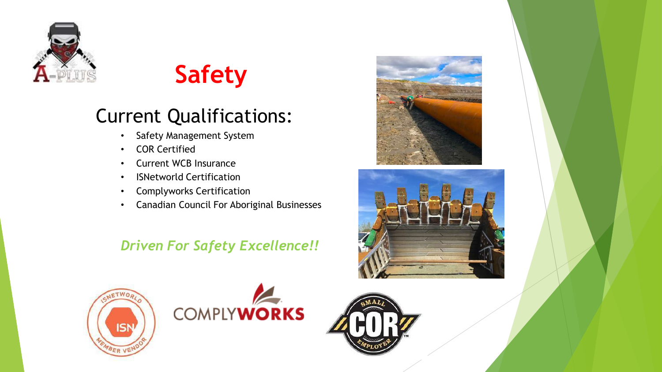

# **Safety**

## Current Qualifications:

- Safety Management System
- COR Certified
- Current WCB Insurance
- ISNetworld Certification
- Complyworks Certification
- Canadian Council For Aboriginal Businesses

### *Driven For Safety Excellence!!*









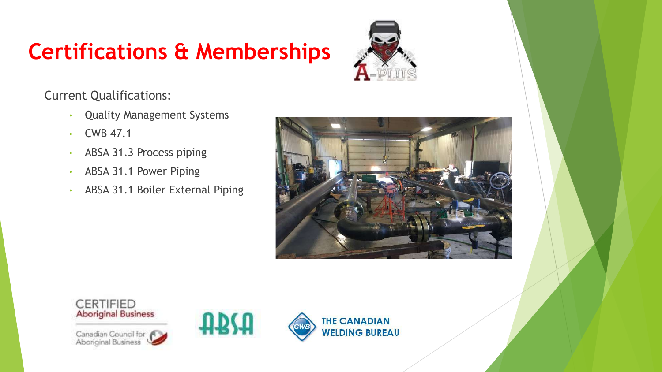# **Certifications & Memberships**



Current Qualifications:

- Quality Management Systems
- CWB 47.1

**CERTIFIED** 

- ABSA 31.3 Process piping
- ABSA 31.1 Power Piping
- ABSA 31.1 Boiler External Piping







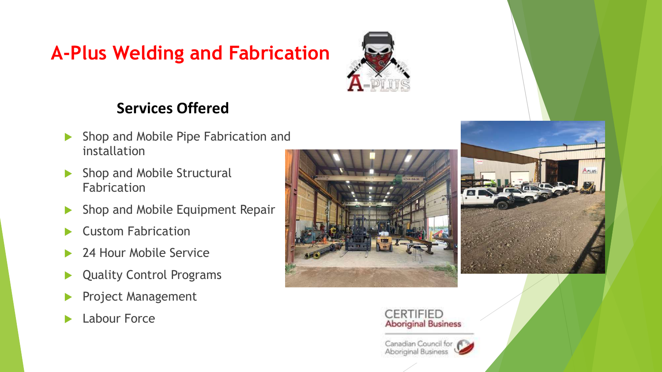## **A-Plus Welding and Fabrication**



### **Services Offered**

- Shop and Mobile Pipe Fabrication and installation
- Shop and Mobile Structural Fabrication
- Shop and Mobile Equipment Repair
- Custom Fabrication
- 24 Hour Mobile Service
- ▶ Quality Control Programs
- Project Management
- **Labour Force**





#### **CERTIFIED Aboriginal Business**

Canadian Council for F Aboriginal Business